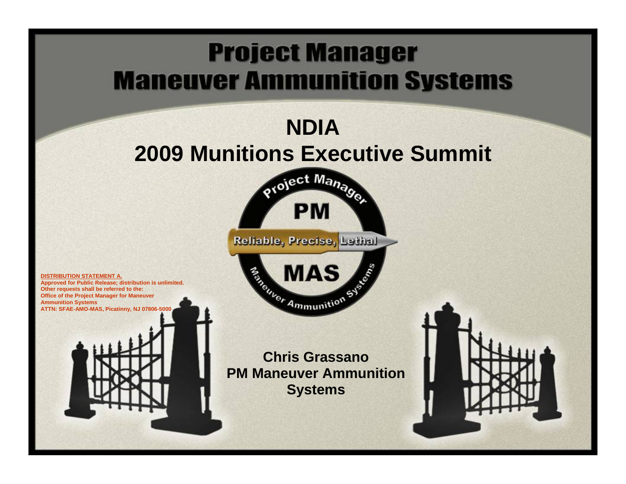# **Project Manager Maneuver Ammunition Systems**

# **NDIA 2009 Munitions Executive Summit** project Manage

**PM** 



MAS

**DISTRIBUTION STATEMENT A.** 

**Approved for Public Release; distribution is unlimited. Other requests shall be referred to the: Office of the Project Manager for Maneuver Ammunition Systems ATTN: SFAE-AMO-MAS, Picatinny, NJ 07806-5** 

> **Chris Grassano PM Maneuver Ammunition Systems**

5555

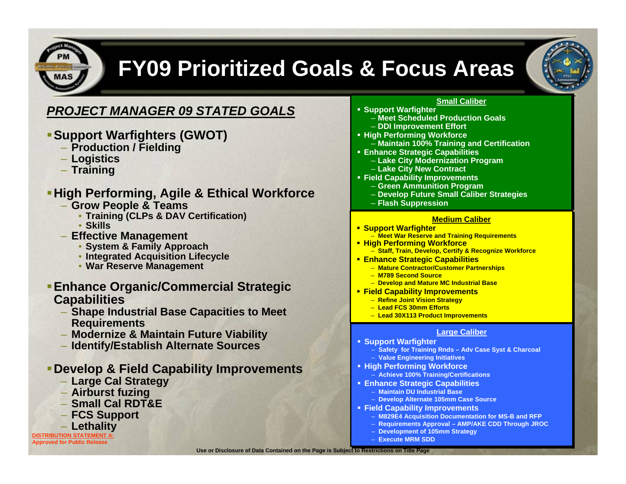

## **FY09 Prioritized Goals & Focus Areas**



### *PROJECT MANAGER 09 STATED GOALS*

- **Support Warfighters (GWOT)** 
	- **Production / Fielding**
	- **Logistics**
	- **Training**

### **High Performing, Agile & Ethical Workforce**

- **Grow People & Teams**
	- **Training (CLPs & DAV Certification)**
	- **Skills**
- **Effective Management**
	- **System & Family Approach**
	- **Integrated Acquisition Lifecycle**
	- **War Reserve Management**

### **Enhance Organic/Commercial Strategic Capabilities**

- **Shape Industrial Base Capacities to Meet Requirements**
- **Modernize & Maintain Future Viability**
- **Identify/Establish Alternate Sources**

### **Develop & Field Capability Improvements**

- **Large Cal Strategy**
- **Airburst fuzing**
- **Small Cal RDT&E**
- **FCS Support**
- **DISTRIBUTION STATEMENT /** – **Lethality**

**Approved for Public Release** 

#### **Small Caliber Small Caliber**

- **Support Warfighter Support Warfighter**
	- **Meet Scheduled Production Goals Meet Scheduled Production Goals**– **DDI Improvement Effort** – **DDI Improvement Effort**
- **High Performing Workforce High Performing Workforce** 
	- **Maintain 100% Training and Certification Maintain 100% Training and Certification**
- **Enhance Strategic Capabilities Enhance Strategic Capabilities**
	- **Lake City Modernization Program Lake City Modernization Program**
	- **Lake City New Contract Lake City New Contract**
- **Field Capability Improvements Field Capability Improvements**
	- **Green Ammunition Program Green Ammunition Program**
	- **Develop Future Small Caliber Strategies Develop Future Small Caliber Strategies**
	- **Flash Suppression Flash Suppression**

#### <u>Medium Caliber</u>

- **Support Warfighter Support Warfighter**
- **Meet War Reserve and Training Requirements Meet War Reserve and Training Requirements High Performing Workforce High Performing Workforce**
	- **Staff, Train, Develop, Certify & Recognize Workforce Staff, Train, Develop, Certify & Recognize Workforce**
- **Enhance Strategic Capabilities Enhance Strategic Capabilities**
	- **Mature Contractor/Customer Partnerships Mature Contractor/Customer Partnerships**
	- **M789 Second Source M789 Second Source**
	- **Develop and Mature MC Industrial Base Develop and Mature MC Industrial Base**
- **Field Capability Improvements Field Capability Improvements**
	- **Refine Joint Vision Strategy Refine Joint Vision Strategy**
	- **Lead FCS 30mm Efforts Lead FCS 30mm Efforts**
	- **Lead 30X113 Product Improvements Lead 30X113 Product Improvements**

#### **Large Caliber Large Caliber**

- **Support Warfighter Support Warfighter**
	- **Safety for Training Rnds Adv Case Syst & Charcoal Safety for Training Rnds Adv Case Syst & Charcoal** – **Value Engineering Initiatives** – **Value Engineering Initiatives**
- **High Performing Workforce High Performing Workforce**
	- **Achieve 100% Training/Certifications Achieve 100% Training/Certifications**
- **Enhance Strategic Capabilities Enhance Strategic Capabilities**
	- **Maintain DU Industrial Base Maintain DU Industrial Base**
	- **Develop Alternate 105mm Case Source Develop Alternate 105mm Case Source**
- **Field Capability Improvements Field Capability Improvements**
	- **M829E4 Acquisition Documentation for MS-B and RFP M829E4 Acquisition Documentation for MS-B and RFP**
	- **Requirements Approval AMP/AKE CDD Through JROC Requirements Approval AMP/AKE CDD Through JROC**
	- **Development of 105mm Strategy Development of 105mm Strategy**
	- **Execute MRM SDD Execute MRM SDD**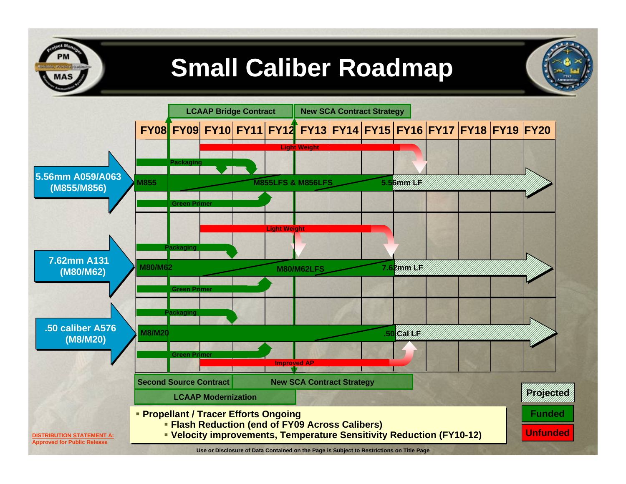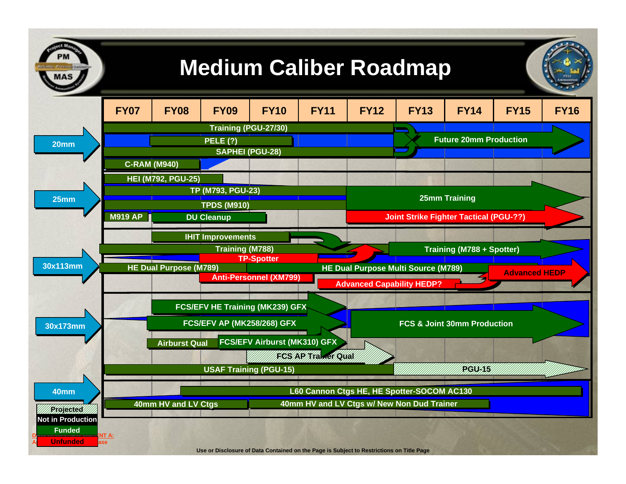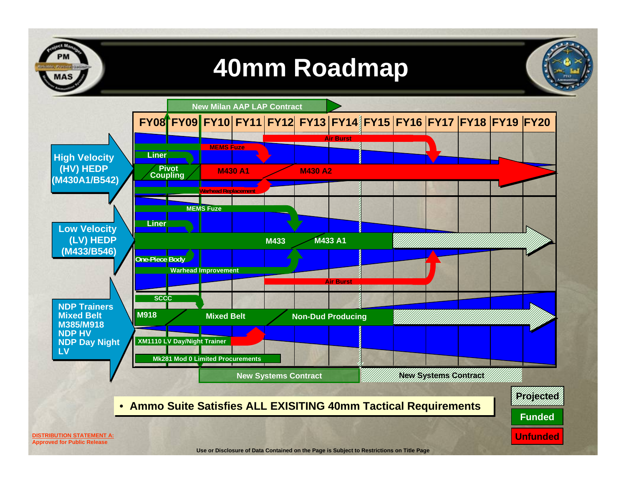

# **40mm Roadmap**

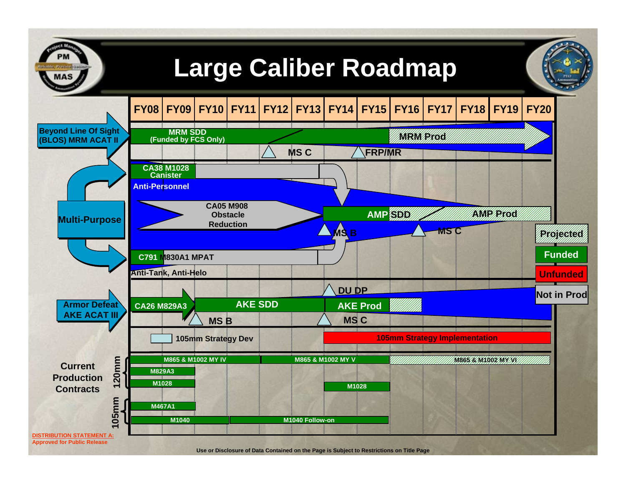